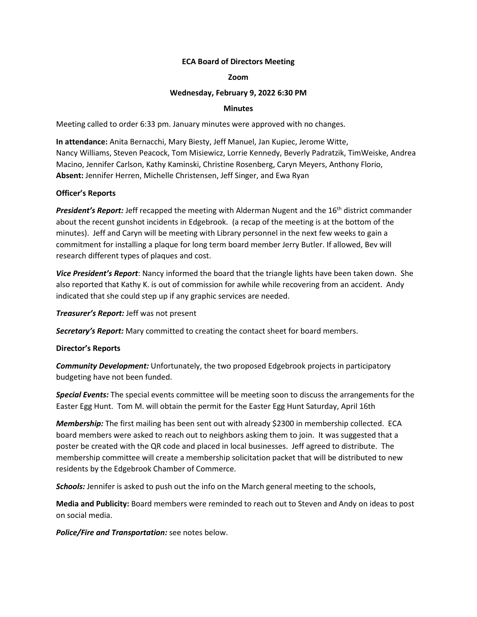### **ECA Board of Directors Meeting**

### **Zoom**

### **Wednesday, February 9, 2022 6:30 PM**

## **Minutes**

Meeting called to order 6:33 pm. January minutes were approved with no changes.

**In attendance:** Anita Bernacchi, Mary Biesty, Jeff Manuel, Jan Kupiec, Jerome Witte, Nancy Williams, Steven Peacock, Tom Misiewicz, Lorrie Kennedy, Beverly Padratzik, TimWeiske, Andrea Macino, Jennifer Carlson, Kathy Kaminski, Christine Rosenberg, Caryn Meyers, Anthony Florio, **Absent:** Jennifer Herren, Michelle Christensen, Jeff Singer, and Ewa Ryan

### **Officer's Reports**

**President's Report:** Jeff recapped the meeting with Alderman Nugent and the 16<sup>th</sup> district commander about the recent gunshot incidents in Edgebrook. (a recap of the meeting is at the bottom of the minutes). Jeff and Caryn will be meeting with Library personnel in the next few weeks to gain a commitment for installing a plaque for long term board member Jerry Butler. If allowed, Bev will research different types of plaques and cost.

*Vice President's Report*: Nancy informed the board that the triangle lights have been taken down. She also reported that Kathy K. is out of commission for awhile while recovering from an accident. Andy indicated that she could step up if any graphic services are needed.

#### *Treasurer's Report:* Jeff was not present

*Secretary's Report:* Mary committed to creating the contact sheet for board members.

# **Director's Reports**

*Community Development:* Unfortunately, the two proposed Edgebrook projects in participatory budgeting have not been funded.

*Special Events:* The special events committee will be meeting soon to discuss the arrangements for the Easter Egg Hunt. Tom M. will obtain the permit for the Easter Egg Hunt Saturday, April 16th

*Membership:* The first mailing has been sent out with already \$2300 in membership collected. ECA board members were asked to reach out to neighbors asking them to join. It was suggested that a poster be created with the QR code and placed in local businesses. Jeff agreed to distribute. The membership committee will create a membership solicitation packet that will be distributed to new residents by the Edgebrook Chamber of Commerce.

*Schools:* Jennifer is asked to push out the info on the March general meeting to the schools,

**Media and Publicity:** Board members were reminded to reach out to Steven and Andy on ideas to post on social media.

*Police/Fire and Transportation:* see notes below.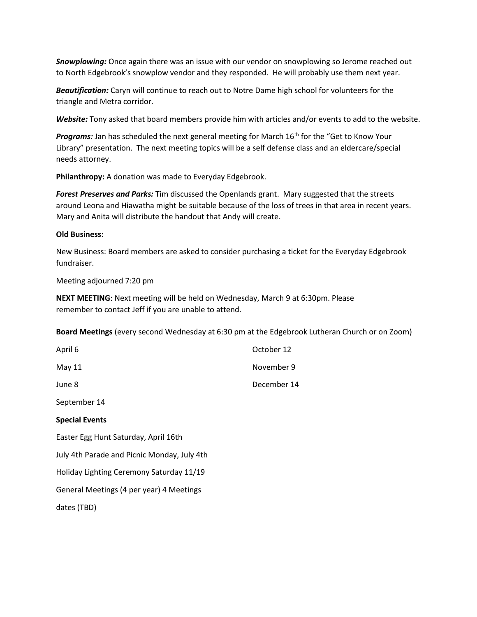*Snowplowing:* Once again there was an issue with our vendor on snowplowing so Jerome reached out to North Edgebrook's snowplow vendor and they responded. He will probably use them next year.

*Beautification:* Caryn will continue to reach out to Notre Dame high school for volunteers for the triangle and Metra corridor.

*Website:* Tony asked that board members provide him with articles and/or events to add to the website.

Programs: Jan has scheduled the next general meeting for March 16<sup>th</sup> for the "Get to Know Your Library" presentation. The next meeting topics will be a self defense class and an eldercare/special needs attorney.

**Philanthropy:** A donation was made to Everyday Edgebrook.

*Forest Preserves and Parks:* Tim discussed the Openlands grant. Mary suggested that the streets around Leona and Hiawatha might be suitable because of the loss of trees in that area in recent years. Mary and Anita will distribute the handout that Andy will create.

#### **Old Business:**

New Business: Board members are asked to consider purchasing a ticket for the Everyday Edgebrook fundraiser.

Meeting adjourned 7:20 pm

**NEXT MEETING**: Next meeting will be held on Wednesday, March 9 at 6:30pm. Please remember to contact Jeff if you are unable to attend.

**Board Meetings** (every second Wednesday at 6:30 pm at the Edgebrook Lutheran Church or on Zoom)

| April 6                                     | October 12  |
|---------------------------------------------|-------------|
| May 11                                      | November 9  |
| June 8                                      | December 14 |
| September 14                                |             |
| <b>Special Events</b>                       |             |
| Easter Egg Hunt Saturday, April 16th        |             |
| July 4th Parade and Picnic Monday, July 4th |             |
| Holiday Lighting Ceremony Saturday 11/19    |             |
| General Meetings (4 per year) 4 Meetings    |             |
| dates (TBD)                                 |             |
|                                             |             |